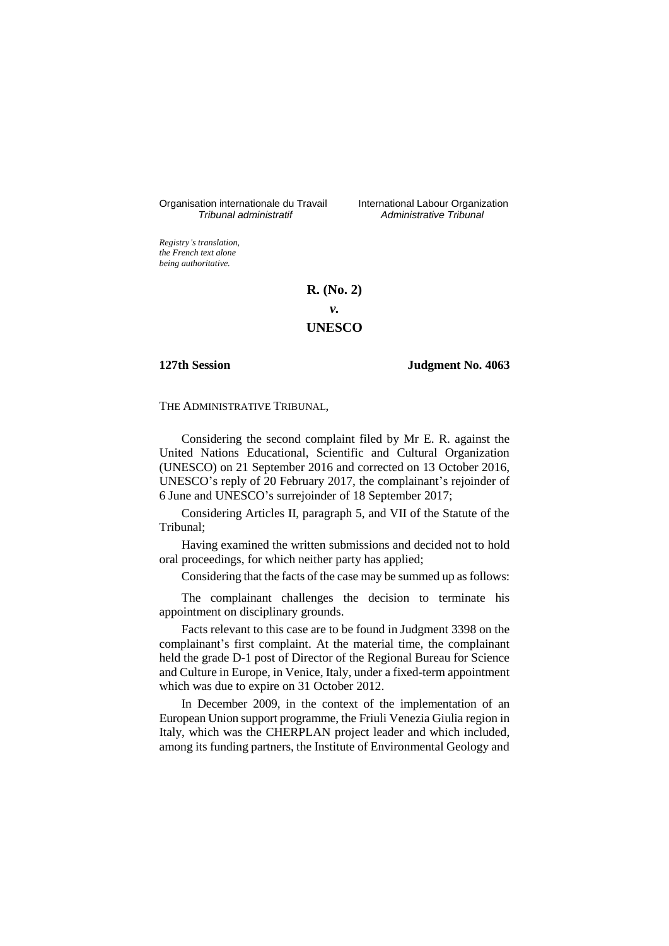Organisation internationale du Travail International Labour Organization<br>*Tribunal administratif Administrative Tribunal* 

*Tribunal administratif Administrative Tribunal*

*Registry's translation, the French text alone being authoritative.*

## **R. (No. 2)**

*v.*

## **UNESCO**

## **127th Session Judgment No. 4063**

THE ADMINISTRATIVE TRIBUNAL,

Considering the second complaint filed by Mr E. R. against the United Nations Educational, Scientific and Cultural Organization (UNESCO) on 21 September 2016 and corrected on 13 October 2016, UNESCO's reply of 20 February 2017, the complainant's rejoinder of 6 June and UNESCO's surrejoinder of 18 September 2017;

Considering Articles II, paragraph 5, and VII of the Statute of the Tribunal;

Having examined the written submissions and decided not to hold oral proceedings, for which neither party has applied;

Considering that the facts of the case may be summed up as follows:

The complainant challenges the decision to terminate his appointment on disciplinary grounds.

Facts relevant to this case are to be found in Judgment 3398 on the complainant's first complaint. At the material time, the complainant held the grade D-1 post of Director of the Regional Bureau for Science and Culture in Europe, in Venice, Italy, under a fixed-term appointment which was due to expire on 31 October 2012.

In December 2009, in the context of the implementation of an European Union support programme, the Friuli Venezia Giulia region in Italy, which was the CHERPLAN project leader and which included, among its funding partners, the Institute of Environmental Geology and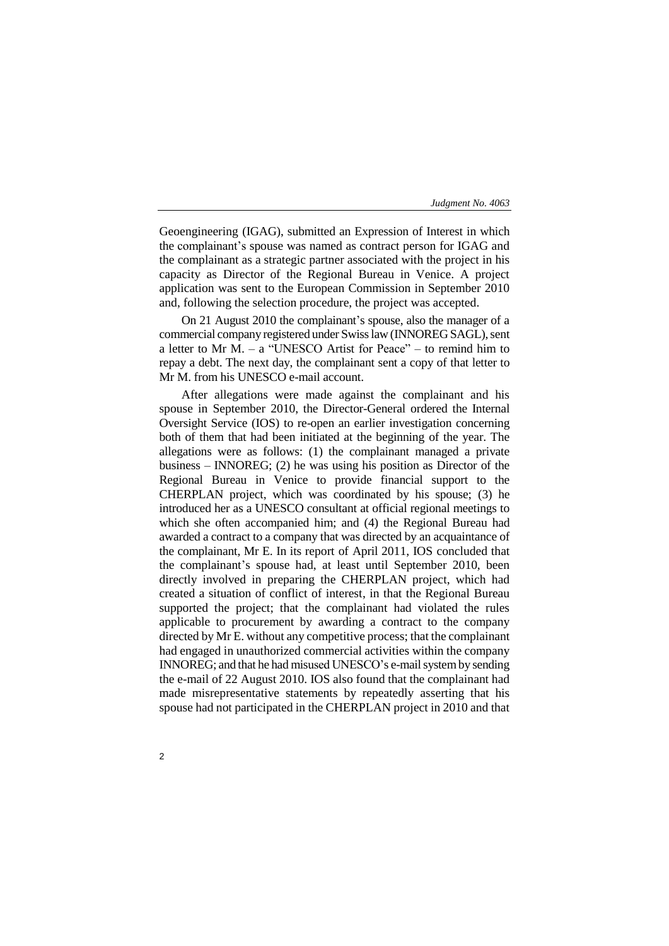Geoengineering (IGAG), submitted an Expression of Interest in which the complainant's spouse was named as contract person for IGAG and the complainant as a strategic partner associated with the project in his capacity as Director of the Regional Bureau in Venice. A project application was sent to the European Commission in September 2010 and, following the selection procedure, the project was accepted.

On 21 August 2010 the complainant's spouse, also the manager of a commercial company registered under Swiss law (INNOREG SAGL), sent a letter to Mr M. – a "UNESCO Artist for Peace" – to remind him to repay a debt. The next day, the complainant sent a copy of that letter to Mr M. from his UNESCO e-mail account.

After allegations were made against the complainant and his spouse in September 2010, the Director-General ordered the Internal Oversight Service (IOS) to re-open an earlier investigation concerning both of them that had been initiated at the beginning of the year. The allegations were as follows: (1) the complainant managed a private business – INNOREG; (2) he was using his position as Director of the Regional Bureau in Venice to provide financial support to the CHERPLAN project, which was coordinated by his spouse; (3) he introduced her as a UNESCO consultant at official regional meetings to which she often accompanied him; and (4) the Regional Bureau had awarded a contract to a company that was directed by an acquaintance of the complainant, Mr E. In its report of April 2011, IOS concluded that the complainant's spouse had, at least until September 2010, been directly involved in preparing the CHERPLAN project, which had created a situation of conflict of interest, in that the Regional Bureau supported the project; that the complainant had violated the rules applicable to procurement by awarding a contract to the company directed by Mr E. without any competitive process; that the complainant had engaged in unauthorized commercial activities within the company INNOREG; and that he had misused UNESCO's e-mail system by sending the e-mail of 22 August 2010. IOS also found that the complainant had made misrepresentative statements by repeatedly asserting that his spouse had not participated in the CHERPLAN project in 2010 and that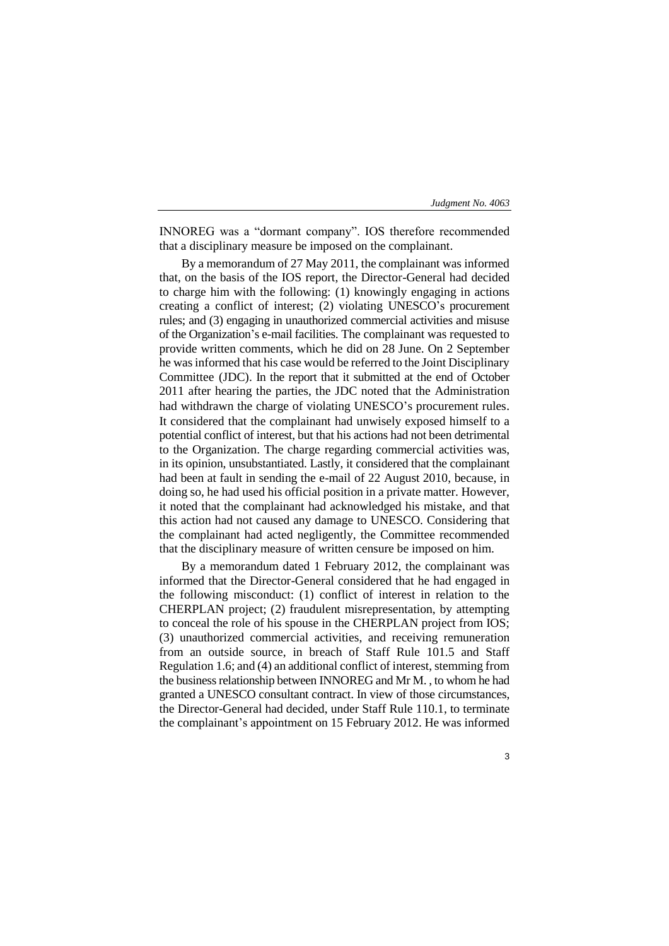INNOREG was a "dormant company". IOS therefore recommended that a disciplinary measure be imposed on the complainant.

By a memorandum of 27 May 2011, the complainant was informed that, on the basis of the IOS report, the Director-General had decided to charge him with the following: (1) knowingly engaging in actions creating a conflict of interest; (2) violating UNESCO's procurement rules; and (3) engaging in unauthorized commercial activities and misuse of the Organization's e-mail facilities. The complainant was requested to provide written comments, which he did on 28 June. On 2 September he was informed that his case would be referred to the Joint Disciplinary Committee (JDC). In the report that it submitted at the end of October 2011 after hearing the parties, the JDC noted that the Administration had withdrawn the charge of violating UNESCO's procurement rules. It considered that the complainant had unwisely exposed himself to a potential conflict of interest, but that his actions had not been detrimental to the Organization. The charge regarding commercial activities was, in its opinion, unsubstantiated. Lastly, it considered that the complainant had been at fault in sending the e-mail of 22 August 2010, because, in doing so, he had used his official position in a private matter. However, it noted that the complainant had acknowledged his mistake, and that this action had not caused any damage to UNESCO. Considering that the complainant had acted negligently, the Committee recommended that the disciplinary measure of written censure be imposed on him.

By a memorandum dated 1 February 2012, the complainant was informed that the Director-General considered that he had engaged in the following misconduct: (1) conflict of interest in relation to the CHERPLAN project; (2) fraudulent misrepresentation, by attempting to conceal the role of his spouse in the CHERPLAN project from IOS; (3) unauthorized commercial activities, and receiving remuneration from an outside source, in breach of Staff Rule 101.5 and Staff Regulation 1.6; and (4) an additional conflict of interest, stemming from the business relationship between INNOREG and Mr M. , to whom he had granted a UNESCO consultant contract. In view of those circumstances, the Director-General had decided, under Staff Rule 110.1, to terminate the complainant's appointment on 15 February 2012. He was informed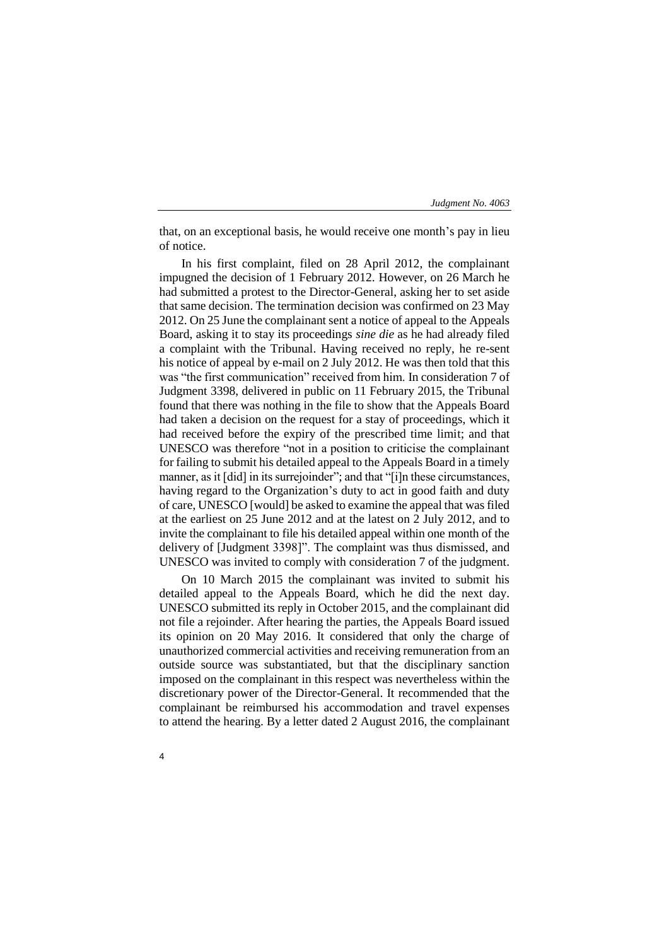that, on an exceptional basis, he would receive one month's pay in lieu of notice.

In his first complaint, filed on 28 April 2012, the complainant impugned the decision of 1 February 2012. However, on 26 March he had submitted a protest to the Director-General, asking her to set aside that same decision. The termination decision was confirmed on 23 May 2012. On 25 June the complainant sent a notice of appeal to the Appeals Board, asking it to stay its proceedings *sine die* as he had already filed a complaint with the Tribunal. Having received no reply, he re-sent his notice of appeal by e-mail on 2 July 2012. He was then told that this was "the first communication" received from him. In consideration 7 of Judgment 3398, delivered in public on 11 February 2015, the Tribunal found that there was nothing in the file to show that the Appeals Board had taken a decision on the request for a stay of proceedings, which it had received before the expiry of the prescribed time limit; and that UNESCO was therefore "not in a position to criticise the complainant for failing to submit his detailed appeal to the Appeals Board in a timely manner, as it [did] in its surrejoinder"; and that "[i]n these circumstances, having regard to the Organization's duty to act in good faith and duty of care, UNESCO [would] be asked to examine the appeal that was filed at the earliest on 25 June 2012 and at the latest on 2 July 2012, and to invite the complainant to file his detailed appeal within one month of the delivery of [Judgment 3398]". The complaint was thus dismissed, and UNESCO was invited to comply with consideration 7 of the judgment.

On 10 March 2015 the complainant was invited to submit his detailed appeal to the Appeals Board, which he did the next day. UNESCO submitted its reply in October 2015, and the complainant did not file a rejoinder. After hearing the parties, the Appeals Board issued its opinion on 20 May 2016. It considered that only the charge of unauthorized commercial activities and receiving remuneration from an outside source was substantiated, but that the disciplinary sanction imposed on the complainant in this respect was nevertheless within the discretionary power of the Director-General. It recommended that the complainant be reimbursed his accommodation and travel expenses to attend the hearing. By a letter dated 2 August 2016, the complainant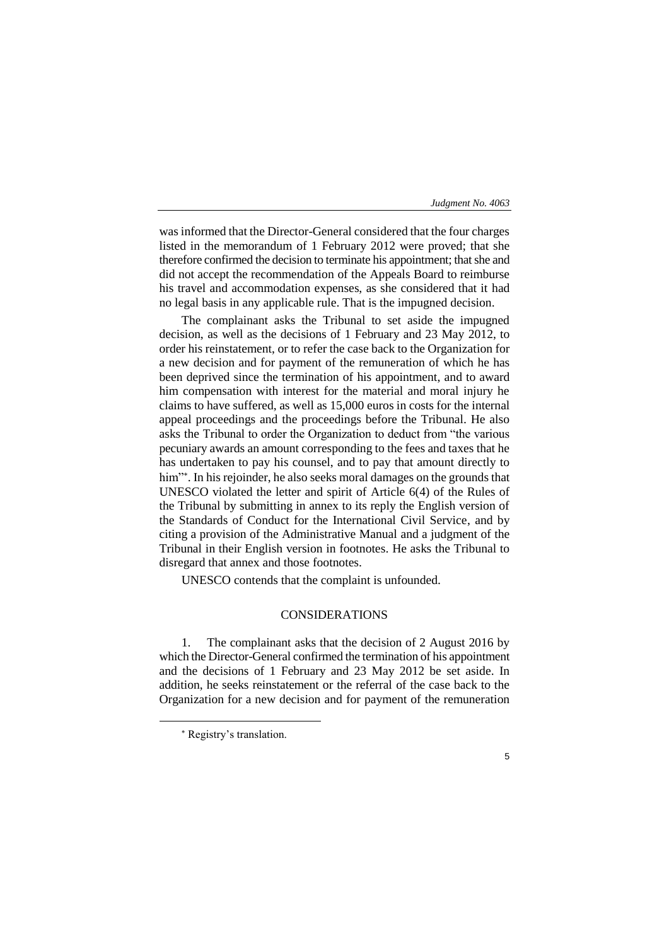was informed that the Director-General considered that the four charges listed in the memorandum of 1 February 2012 were proved; that she therefore confirmed the decision to terminate his appointment; that she and did not accept the recommendation of the Appeals Board to reimburse his travel and accommodation expenses, as she considered that it had no legal basis in any applicable rule. That is the impugned decision.

The complainant asks the Tribunal to set aside the impugned decision, as well as the decisions of 1 February and 23 May 2012, to order his reinstatement, or to refer the case back to the Organization for a new decision and for payment of the remuneration of which he has been deprived since the termination of his appointment, and to award him compensation with interest for the material and moral injury he claims to have suffered, as well as 15,000 euros in costs for the internal appeal proceedings and the proceedings before the Tribunal. He also asks the Tribunal to order the Organization to deduct from "the various pecuniary awards an amount corresponding to the fees and taxes that he has undertaken to pay his counsel, and to pay that amount directly to him" . In his rejoinder, he also seeks moral damages on the grounds that UNESCO violated the letter and spirit of Article 6(4) of the Rules of the Tribunal by submitting in annex to its reply the English version of the Standards of Conduct for the International Civil Service, and by citing a provision of the Administrative Manual and a judgment of the Tribunal in their English version in footnotes. He asks the Tribunal to disregard that annex and those footnotes.

UNESCO contends that the complaint is unfounded.

## CONSIDERATIONS

1. The complainant asks that the decision of 2 August 2016 by which the Director-General confirmed the termination of his appointment and the decisions of 1 February and 23 May 2012 be set aside. In addition, he seeks reinstatement or the referral of the case back to the Organization for a new decision and for payment of the remuneration

-

Registry's translation.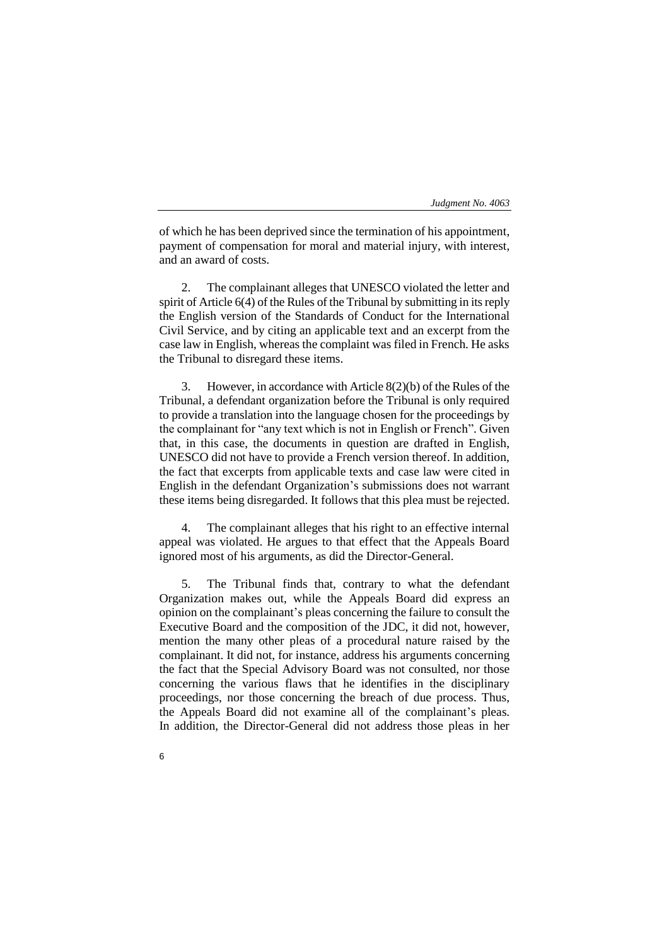of which he has been deprived since the termination of his appointment, payment of compensation for moral and material injury, with interest, and an award of costs.

2. The complainant alleges that UNESCO violated the letter and spirit of Article 6(4) of the Rules of the Tribunal by submitting in its reply the English version of the Standards of Conduct for the International Civil Service, and by citing an applicable text and an excerpt from the case law in English, whereas the complaint was filed in French. He asks the Tribunal to disregard these items.

3. However, in accordance with Article 8(2)(b) of the Rules of the Tribunal, a defendant organization before the Tribunal is only required to provide a translation into the language chosen for the proceedings by the complainant for "any text which is not in English or French". Given that, in this case, the documents in question are drafted in English, UNESCO did not have to provide a French version thereof. In addition, the fact that excerpts from applicable texts and case law were cited in English in the defendant Organization's submissions does not warrant these items being disregarded. It follows that this plea must be rejected.

The complainant alleges that his right to an effective internal appeal was violated. He argues to that effect that the Appeals Board ignored most of his arguments, as did the Director-General.

5. The Tribunal finds that, contrary to what the defendant Organization makes out, while the Appeals Board did express an opinion on the complainant's pleas concerning the failure to consult the Executive Board and the composition of the JDC, it did not, however, mention the many other pleas of a procedural nature raised by the complainant. It did not, for instance, address his arguments concerning the fact that the Special Advisory Board was not consulted, nor those concerning the various flaws that he identifies in the disciplinary proceedings, nor those concerning the breach of due process. Thus, the Appeals Board did not examine all of the complainant's pleas. In addition, the Director-General did not address those pleas in her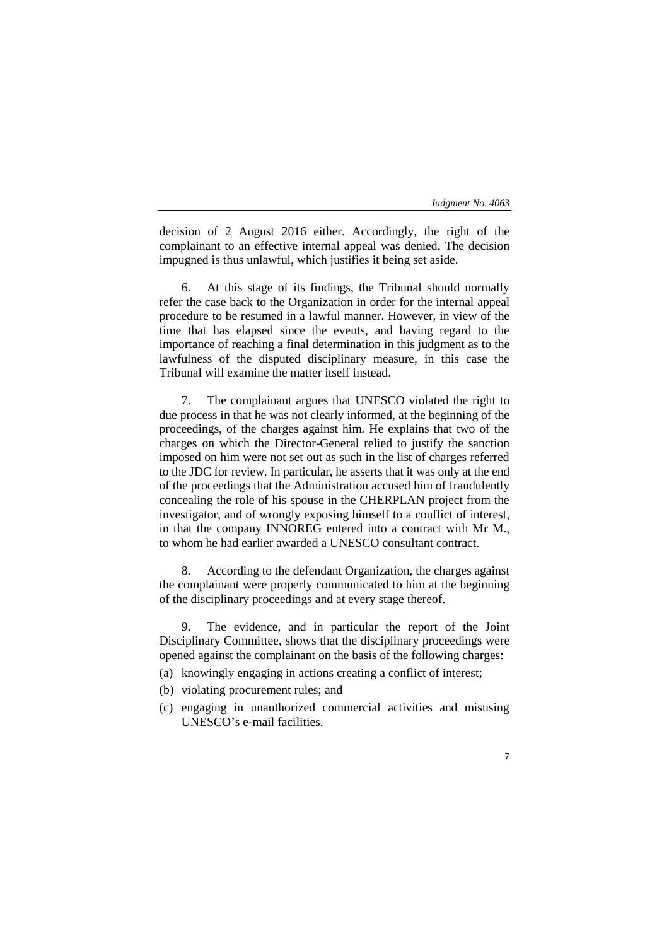7

decision of 2 August 2016 either. Accordingly, the right of the complainant to an effective internal appeal was denied. The decision impugned is thus unlawful, which justifies it being set aside.

6. At this stage of its findings, the Tribunal should normally refer the case back to the Organization in order for the internal appeal procedure to be resumed in a lawful manner. However, in view of the time that has elapsed since the events, and having regard to the importance of reaching a final determination in this judgment as to the lawfulness of the disputed disciplinary measure, in this case the Tribunal will examine the matter itself instead.

The complainant argues that UNESCO violated the right to due process in that he was not clearly informed, at the beginning of the proceedings, of the charges against him. He explains that two of the charges on which the Director-General relied to justify the sanction imposed on him were not set out as such in the list of charges referred to the JDC for review. In particular, he asserts that it was only at the end of the proceedings that the Administration accused him of fraudulently concealing the role of his spouse in the CHERPLAN project from the investigator, and of wrongly exposing himself to a conflict of interest, in that the company INNOREG entered into a contract with Mr M., to whom he had earlier awarded a UNESCO consultant contract.

8. According to the defendant Organization, the charges against the complainant were properly communicated to him at the beginning of the disciplinary proceedings and at every stage thereof.

The evidence, and in particular the report of the Joint Disciplinary Committee, shows that the disciplinary proceedings were opened against the complainant on the basis of the following charges:

- (a) knowingly engaging in actions creating a conflict of interest;
- (b) violating procurement rules; and
- (c) engaging in unauthorized commercial activities and misusing UNESCO's e-mail facilities.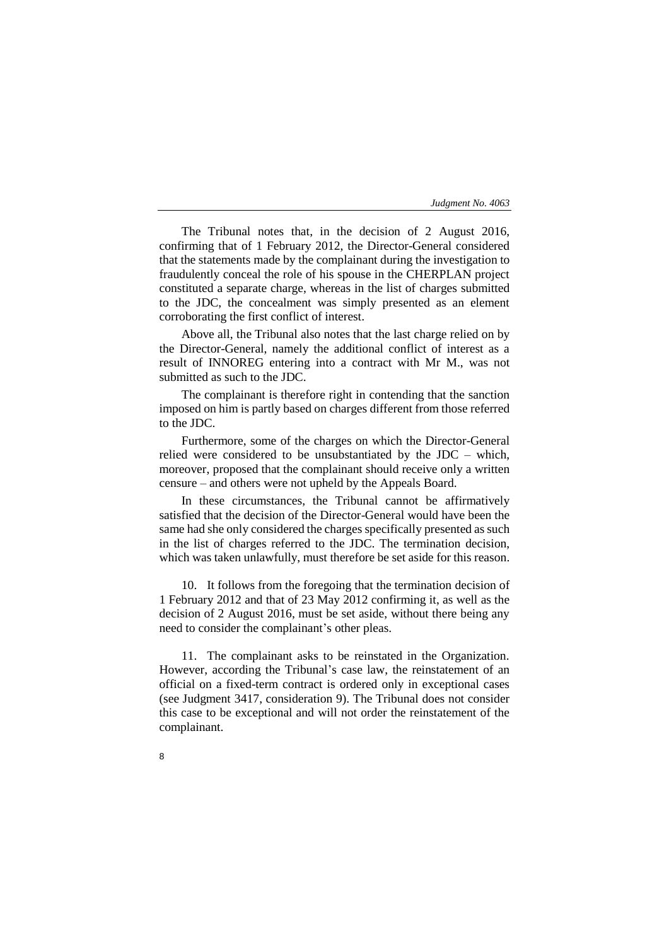The Tribunal notes that, in the decision of 2 August 2016, confirming that of 1 February 2012, the Director-General considered that the statements made by the complainant during the investigation to fraudulently conceal the role of his spouse in the CHERPLAN project constituted a separate charge, whereas in the list of charges submitted to the JDC, the concealment was simply presented as an element corroborating the first conflict of interest.

Above all, the Tribunal also notes that the last charge relied on by the Director-General, namely the additional conflict of interest as a result of INNOREG entering into a contract with Mr M., was not submitted as such to the JDC.

The complainant is therefore right in contending that the sanction imposed on him is partly based on charges different from those referred to the JDC.

Furthermore, some of the charges on which the Director-General relied were considered to be unsubstantiated by the JDC – which, moreover, proposed that the complainant should receive only a written censure – and others were not upheld by the Appeals Board.

In these circumstances, the Tribunal cannot be affirmatively satisfied that the decision of the Director-General would have been the same had she only considered the charges specifically presented as such in the list of charges referred to the JDC. The termination decision, which was taken unlawfully, must therefore be set aside for this reason.

10. It follows from the foregoing that the termination decision of 1 February 2012 and that of 23 May 2012 confirming it, as well as the decision of 2 August 2016, must be set aside, without there being any need to consider the complainant's other pleas.

11. The complainant asks to be reinstated in the Organization. However, according the Tribunal's case law, the reinstatement of an official on a fixed-term contract is ordered only in exceptional cases (see Judgment 3417, consideration 9). The Tribunal does not consider this case to be exceptional and will not order the reinstatement of the complainant.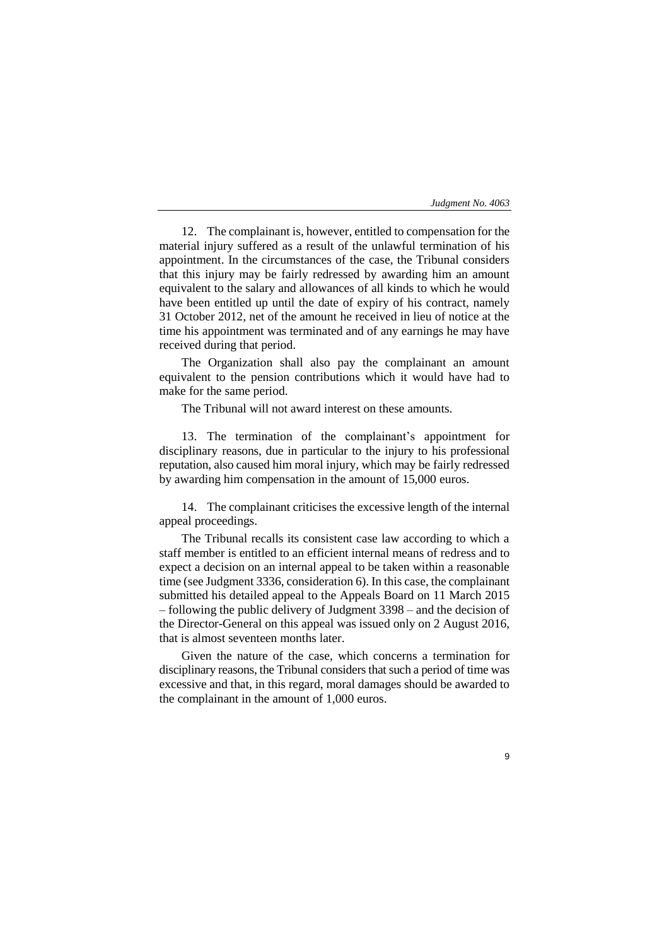12. The complainant is, however, entitled to compensation for the material injury suffered as a result of the unlawful termination of his appointment. In the circumstances of the case, the Tribunal considers that this injury may be fairly redressed by awarding him an amount equivalent to the salary and allowances of all kinds to which he would have been entitled up until the date of expiry of his contract, namely 31 October 2012, net of the amount he received in lieu of notice at the time his appointment was terminated and of any earnings he may have received during that period.

The Organization shall also pay the complainant an amount equivalent to the pension contributions which it would have had to make for the same period.

The Tribunal will not award interest on these amounts.

13. The termination of the complainant's appointment for disciplinary reasons, due in particular to the injury to his professional reputation, also caused him moral injury, which may be fairly redressed by awarding him compensation in the amount of 15,000 euros.

14. The complainant criticises the excessive length of the internal appeal proceedings.

The Tribunal recalls its consistent case law according to which a staff member is entitled to an efficient internal means of redress and to expect a decision on an internal appeal to be taken within a reasonable time (see Judgment 3336, consideration 6). In this case, the complainant submitted his detailed appeal to the Appeals Board on 11 March 2015 – following the public delivery of Judgment 3398 – and the decision of the Director-General on this appeal was issued only on 2 August 2016, that is almost seventeen months later.

Given the nature of the case, which concerns a termination for disciplinary reasons, the Tribunal considers that such a period of time was excessive and that, in this regard, moral damages should be awarded to the complainant in the amount of 1,000 euros.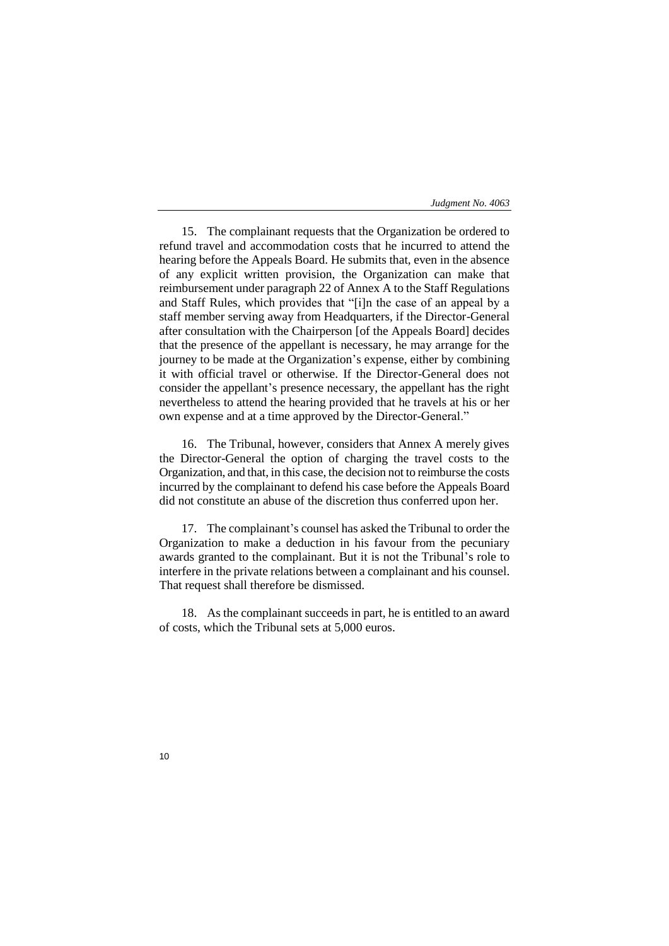15. The complainant requests that the Organization be ordered to refund travel and accommodation costs that he incurred to attend the hearing before the Appeals Board. He submits that, even in the absence of any explicit written provision, the Organization can make that reimbursement under paragraph 22 of Annex A to the Staff Regulations and Staff Rules, which provides that "[i]n the case of an appeal by a staff member serving away from Headquarters, if the Director-General after consultation with the Chairperson [of the Appeals Board] decides that the presence of the appellant is necessary, he may arrange for the journey to be made at the Organization's expense, either by combining it with official travel or otherwise. If the Director-General does not consider the appellant's presence necessary, the appellant has the right nevertheless to attend the hearing provided that he travels at his or her own expense and at a time approved by the Director-General."

16. The Tribunal, however, considers that Annex A merely gives the Director-General the option of charging the travel costs to the Organization, and that, in this case, the decision not to reimburse the costs incurred by the complainant to defend his case before the Appeals Board did not constitute an abuse of the discretion thus conferred upon her.

17. The complainant's counsel has asked the Tribunal to order the Organization to make a deduction in his favour from the pecuniary awards granted to the complainant. But it is not the Tribunal's role to interfere in the private relations between a complainant and his counsel. That request shall therefore be dismissed.

18. As the complainant succeeds in part, he is entitled to an award of costs, which the Tribunal sets at 5,000 euros.